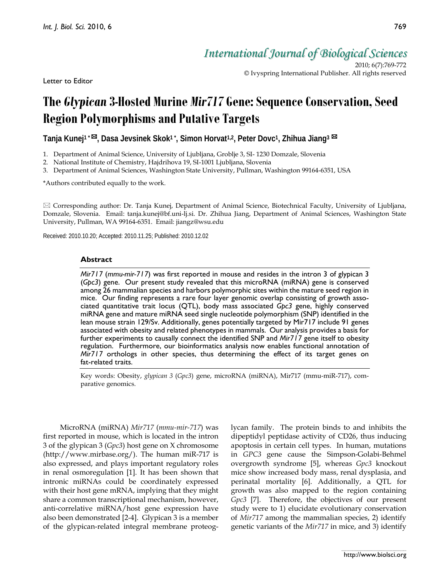Letter to Editor

*International Journal of Biological Sciences*

2010; 6(7):769-772 © Ivyspring International Publisher. All rights reserved

# **The** *Glypican* **3-Hosted Murine** *Mir717* **Gene: Sequence Conservation, Seed Region Polymorphisms and Putative Targets**

**Tanja Kunej1 \* , Dasa Jevsinek Skok1 \* , Simon Horvat1,2, Peter Dovc1, Zhihua Jiang3**

1. Department of Animal Science, University of Ljubljana, Groblje 3, SI- 1230 Domzale, Slovenia

2. National Institute of Chemistry, Hajdrihova 19, SI-1001 Ljubljana, Slovenia

3. Department of Animal Sciences, Washington State University, Pullman, Washington 99164-6351, USA

\*Authors contributed equally to the work.

 $\boxtimes$  Corresponding author: Dr. Tanja Kunej, Department of Animal Science, Biotechnical Faculty, University of Ljubljana, Domzale, Slovenia. Email: tanja.kunej@bf.uni-lj.si. Dr. Zhihua Jiang, Department of Animal Sciences, Washington State University, Pullman, WA 99164-6351. Email: jiangz@wsu.edu

Received: 2010.10.20; Accepted: 2010.11.25; Published: 2010.12.02

### **Abstract**

*Mir717* (*mmu-mir-717*) was first reported in mouse and resides in the intron 3 of glypican 3 (*Gpc3*) gene. Our present study revealed that this microRNA (miRNA) gene is conserved among 26 mammalian species and harbors polymorphic sites within the mature seed region in mice. Our finding represents a rare four layer genomic overlap consisting of growth associated quantitative trait locus (QTL), body mass associated *Gpc3* gene, highly conserved miRNA gene and mature miRNA seed single nucleotide polymorphism (SNP) identified in the lean mouse strain 129/Sv. Additionally, genes potentially targeted by Mir717 include 91 genes associated with obesity and related phenotypes in mammals. Our analysis provides a basis for further experiments to causally connect the identified SNP and *Mir717* gene itself to obesity regulation. Furthermore, our bioinformatics analysis now enables functional annotation of *Mir717* orthologs in other species, thus determining the effect of its target genes on fat-related traits.

Key words: Obesity, *glypican 3* (*Gpc3*) gene, microRNA (miRNA), Mir717 (mmu-miR-717), comparative genomics.

MicroRNA (miRNA) *Mir717* (*mmu-mir-717*) was first reported in mouse, which is located in the intron 3 of the glypican 3 (*Gpc3*) host gene on X chromosome (http://www.mirbase.org/). The human miR-717 is also expressed, and plays important regulatory roles in renal osmoregulation [1]. It has been shown that intronic miRNAs could be coordinately expressed with their host gene mRNA, implying that they might share a common transcriptional mechanism, however, anti-correlative miRNA/host gene expression have also been demonstrated [2-4]. Glypican 3 is a member of the glypican-related integral membrane proteoglycan family. The protein binds to and inhibits the dipeptidyl peptidase activity of CD26, thus inducing apoptosis in certain cell types. In human, mutations in *GPC3* gene cause the Simpson-Golabi-Behmel overgrowth syndrome [5], whereas *Gpc3* knockout mice show increased body mass, renal dysplasia, and perinatal mortality [6]. Additionally, a QTL for growth was also mapped to the region containing *Gpc3* [7]. Therefore, the objectives of our present study were to 1) elucidate evolutionary conservation of *Mir717* among the mammalian species, 2) identify genetic variants of the *Mir717* in mice, and 3) identify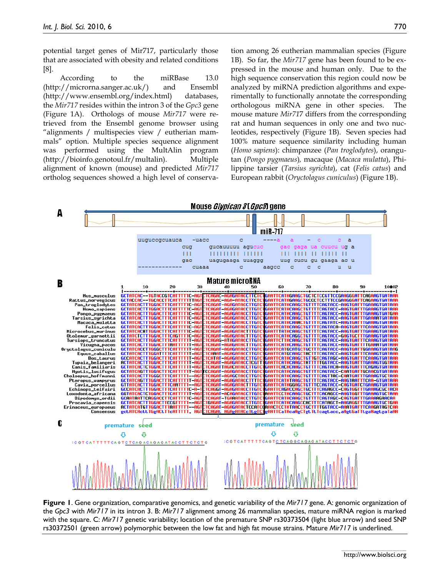770

potential target genes of Mir717, particularly those that are associated with obesity and related conditions [8].

According to the miRBase 13.0 (http://microrna.sanger.ac.uk/) and Ensembl (http://www.ensembl.org/index.html) databases, the *Mir717* resides within the intron 3 of the *Gpc3* gene (Figure 1A). Orthologs of mouse *Mir717* were retrieved from the Ensembl genome browser using "alignments / multispecies view / eutherian mammals" option. Multiple species sequence alignment was performed using the MultAlin program (http://bioinfo.genotoul.fr/multalin). Multiple alignment of known (mouse) and predicted *Mir717* ortholog sequences showed a high level of conservation among 26 eutherian mammalian species (Figure 1B). So far, the *Mir717* gene has been found to be expressed in the mouse and human only. Due to the high sequence conservation this region could now be analyzed by miRNA prediction algorithms and experimentally to functionally annotate the corresponding orthologous miRNA gene in other species. The mouse mature *Mir71*7 differs from the corresponding rat and human sequences in only one and two nucleotides, respectively (Figure 1B). Seven species had 100% mature sequence similarity including human (*Homo sapiens*): chimpanzee (*Pan troglodytes*), orangutan (*Pongo pygmaeus*)*,* macaque (*Macaca mulatta*), Philippine tarsier (*Tarsius syrichta*), cat (*Felis catus*) and European rabbit (*Oryctolagus cuniculus*) (Figure 1B).



**Figure 1**. Gene organization, comparative genomics, and genetic variability of the *Mir717* gene. A: genomic organization of the *Gpc3* with *Mir717* in its intron 3. B: *Mir717* alignment among 26 mammalian species, mature miRNA region is marked with the square. C: *Mir717* genetic variability; location of the premature SNP rs30373504 (light blue arrow) and seed SNP rs30372501 (green arrow) polymorphic between the low fat and high fat mouse strains. Mature *Mir717* is underlined.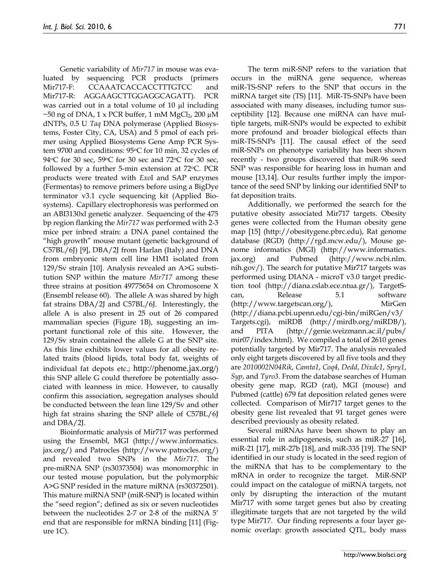Genetic variability of *Mir717* in mouse was evaluated by sequencing PCR products (primers Mir717-F: CCAAATCACCACCTTTGTCC and Mir717-R: AGGAAGCTTGGAGGCAGATT). PCR was carried out in a total volume of 10 µl including  $\sim$ 50 ng of DNA, 1 x PCR buffer, 1 mM MgCl<sub>2</sub>, 200 µM dNTPs, 0.5 U *Taq* DNA polymerase (Applied Biosystems, Foster City, CA, USA) and 5 pmol of each primer using Applied Biosystems Gene Amp PCR System 9700 and conditions:  $95^{\circ}$ C for 10 min, 32 cycles of 94 °C for 30 sec, 59 °C for 30 sec and 72 °C for 30 sec, followed by a further 5-min extension at  $72^{\circ}$ C. PCR products were treated with *Exo*I and SAP enzymes (Fermentas) to remove primers before using a BigDye terminator v3.1 cycle sequencing kit (Applied Biosystems). Capillary electrophoresis was performed on an ABI3130xl genetic analyzer. Sequencing of the 475 bp region flanking the *Mir717* was performed with 2-3 mice per inbred strain: a DNA panel contained the "high growth" mouse mutant (genetic background of C57BL/6J) [9], DBA/2J from Harlan (Italy) and DNA from embryonic stem cell line HM1 isolated from 129/Sv strain [10]. Analysis revealed an A>G substitution SNP within the mature *Mir717* among these three strains at position 49775654 on Chromosome X (Ensembl release 60). The allele A was shared by high fat strains DBA/2J and C57BL/6J. Interestingly, the allele A is also present in 25 out of 26 compared mammalian species (Figure 1B), suggesting an important functional role of this site. However, the 129/Sv strain contained the allele G at the SNP site. As this line exhibits lower values for all obesity related traits (blood lipids, total body fat, weights of individual fat depots etc.; http://phenome.jax.org/) this SNP allele G could therefore be potentially associated with leanness in mice. However, to causally confirm this association, segregation analyses should be conducted between the lean line 129/Sv and other high fat strains sharing the SNP allele of C57BL/6J and DBA/2J.

Bioinformatic analysis of Mir717 was performed using the Ensembl, MGI (http://www.informatics. jax.org/) and Patrocles (http://www.patrocles.org/) and revealed two SNPs in the *Mir717*. The pre-miRNA SNP (rs30373504) was monomorphic in our tested mouse population, but the polymorphic A>G SNP resided in the mature miRNA (rs30372501). This mature miRNA SNP (miR-SNP) is located within the "seed region"; defined as six or seven nucleotides between the nucleotides 2-7 or 2-8 of the miRNA 5' end that are responsible for mRNA binding [11] (Figure 1C).

The term miR-SNP refers to the variation that occurs in the miRNA gene sequence, whereas miR-TS-SNP refers to the SNP that occurs in the miRNA target site (TS) [11]. MiR-TS-SNPs have been associated with many diseases, including tumor susceptibility [12]. Because one miRNA can have multiple targets, miR-SNPs would be expected to exhibit more profound and broader biological effects than miR-TS-SNPs [11]. The causal effect of the seed miR-SNPs on phenotype variability has been shown recently - two groups discovered that miR-96 seed SNP was responsible for hearing loss in human and mouse [13,14]. Our results further imply the importance of the seed SNP by linking our identified SNP to fat deposition traits.

Additionally, we performed the search for the putative obesity associated Mir717 targets. Obesity genes were collected from the Human obesity gene map [15] (http://obesitygene.pbrc.edu), Rat genome database (RGD) (http://rgd.mcw.edu/), Mouse genome informatics (MGI) (http://www.informatics. jax.org) and Pubmed (http://www.ncbi.nlm. nih.gov/). The search for putative Mir717 targets was performed using DIANA - microT v3.0 target prediction tool (http://diana.cslab.ece.ntua.gr/), TargetScan, Release 5.1 software (http://www.targetscan.org/), MirGen (http://diana.pcbi.upenn.edu/cgi-bin/miRGen/v3/ Targets.cgi), miRDB (http://mirdb.org/miRDB/), and PITA (http://genie.weizmann.ac.il/pubs/ mir07/index.html). We compiled a total of 2610 genes potentially targeted by Mir717. The analysis revealed only eight targets discovered by all five tools and they are *2010002N04Rik*, *Camta1*, *Coq4*, *Dedd*, *Dixdc1*, *Spry1*, *Syp*, and *Tyro3*. From the database searches of Human obesity gene map, RGD (rat), MGI (mouse) and Pubmed (cattle) 679 fat deposition related genes were collected. Comparison of Mir717 target genes to the obesity gene list revealed that 91 target genes were described previously as obesity related.

Several miRNAs have been shown to play an essential role in adipogenesis, such as miR-27 [16], miR-21 [17], miR-27b [18], and miR-335 [19]. The SNP identified in our study is located in the seed region of the miRNA that has to be complementary to the mRNA in order to recognize the target. MiR-SNP could impact on the catalogue of miRNA targets, not only by disrupting the interaction of the mutant Mir717 with some target genes but also by creating illegitimate targets that are not targeted by the wild type Mir717. Our finding represents a four layer genomic overlap: growth associated QTL, body mass